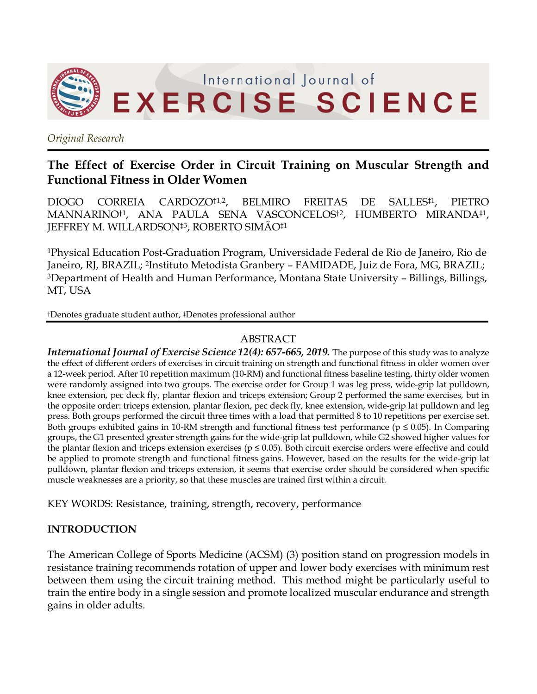

*Original Research*

# **The Effect of Exercise Order in Circuit Training on Muscular Strength and Functional Fitness in Older Women**

DIOGO CORREIA CARDOZO<sup>†1,2</sup>, BELMIRO FREITAS DE SALLES<sup>‡1</sup>, PIETRO MANNARINO†1, ANA PAULA SENA VASCONCELOS†2, HUMBERTO MIRANDA‡1, JEFFREY M. WILLARDSON‡3, ROBERTO SIMÃO‡1

1Physical Education Post-Graduation Program, Universidade Federal de Rio de Janeiro, Rio de Janeiro, RJ, BRAZIL; 2Instituto Metodista Granbery – FAMIDADE, Juiz de Fora, MG, BRAZIL; 3Department of Health and Human Performance, Montana State University – Billings, Billings, MT, USA

†Denotes graduate student author, ‡Denotes professional author

### ABSTRACT

*International Journal of Exercise Science 12(4): 657-665, 2019.* The purpose of this study was to analyze the effect of different orders of exercises in circuit training on strength and functional fitness in older women over a 12-week period. After 10 repetition maximum (10-RM) and functional fitness baseline testing, thirty older women were randomly assigned into two groups. The exercise order for Group 1 was leg press, wide-grip lat pulldown, knee extension, pec deck fly, plantar flexion and triceps extension; Group 2 performed the same exercises, but in the opposite order: triceps extension, plantar flexion, pec deck fly, knee extension, wide-grip lat pulldown and leg press. Both groups performed the circuit three times with a load that permitted 8 to 10 repetitions per exercise set. Both groups exhibited gains in 10-RM strength and functional fitness test performance (p ≤ 0.05). In Comparing groups, the G1 presented greater strength gains for the wide-grip lat pulldown, while G2 showed higher values for the plantar flexion and triceps extension exercises ( $p \le 0.05$ ). Both circuit exercise orders were effective and could be applied to promote strength and functional fitness gains. However, based on the results for the wide-grip lat pulldown, plantar flexion and triceps extension, it seems that exercise order should be considered when specific muscle weaknesses are a priority, so that these muscles are trained first within a circuit.

KEY WORDS: Resistance, training, strength, recovery, performance

#### **INTRODUCTION**

The American College of Sports Medicine (ACSM) (3) position stand on progression models in resistance training recommends rotation of upper and lower body exercises with minimum rest between them using the circuit training method. This method might be particularly useful to train the entire body in a single session and promote localized muscular endurance and strength gains in older adults.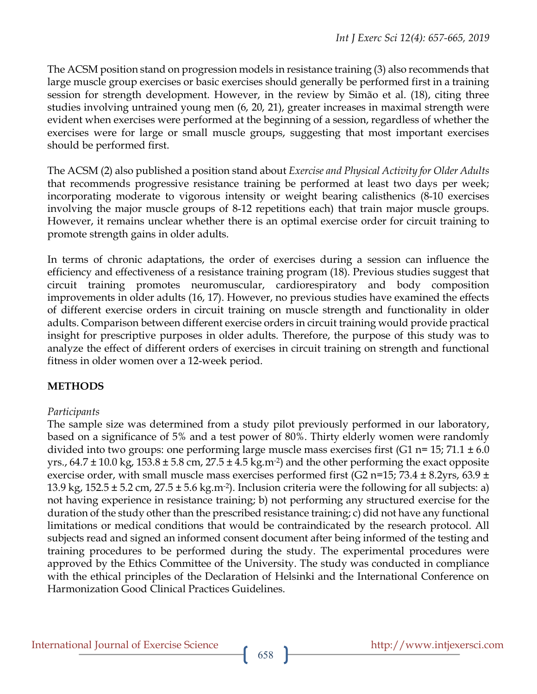The ACSM position stand on progression models in resistance training (3) also recommends that large muscle group exercises or basic exercises should generally be performed first in a training session for strength development. However, in the review by Simão et al. (18), citing three studies involving untrained young men (6, 20, 21), greater increases in maximal strength were evident when exercises were performed at the beginning of a session, regardless of whether the exercises were for large or small muscle groups, suggesting that most important exercises should be performed first.

The ACSM (2) also published a position stand about *Exercise and Physical Activity for Older Adults*  that recommends progressive resistance training be performed at least two days per week; incorporating moderate to vigorous intensity or weight bearing calisthenics (8-10 exercises involving the major muscle groups of 8-12 repetitions each) that train major muscle groups. However, it remains unclear whether there is an optimal exercise order for circuit training to promote strength gains in older adults.

In terms of chronic adaptations, the order of exercises during a session can influence the efficiency and effectiveness of a resistance training program (18). Previous studies suggest that circuit training promotes neuromuscular, cardiorespiratory and body composition improvements in older adults (16, 17). However, no previous studies have examined the effects of different exercise orders in circuit training on muscle strength and functionality in older adults. Comparison between different exercise orders in circuit training would provide practical insight for prescriptive purposes in older adults. Therefore, the purpose of this study was to analyze the effect of different orders of exercises in circuit training on strength and functional fitness in older women over a 12-week period.

## **METHODS**

#### *Participants*

The sample size was determined from a study pilot previously performed in our laboratory, based on a significance of 5% and a test power of 80%. Thirty elderly women were randomly divided into two groups: one performing large muscle mass exercises first (G1 n= 15; 71.1  $\pm$  6.0 yrs.,  $64.7 \pm 10.0$  kg,  $153.8 \pm 5.8$  cm,  $27.5 \pm 4.5$  kg.m<sup>-2</sup>) and the other performing the exact opposite exercise order, with small muscle mass exercises performed first (G2 n=15; 73.4  $\pm$  8.2yrs, 63.9  $\pm$ 13.9 kg, 152.5  $\pm$  5.2 cm, 27.5  $\pm$  5.6 kg.m<sup>-2</sup>). Inclusion criteria were the following for all subjects: a) not having experience in resistance training; b) not performing any structured exercise for the duration of the study other than the prescribed resistance training; c) did not have any functional limitations or medical conditions that would be contraindicated by the research protocol. All subjects read and signed an informed consent document after being informed of the testing and training procedures to be performed during the study. The experimental procedures were approved by the Ethics Committee of the University. The study was conducted in compliance with the ethical principles of the Declaration of Helsinki and the International Conference on Harmonization Good Clinical Practices Guidelines.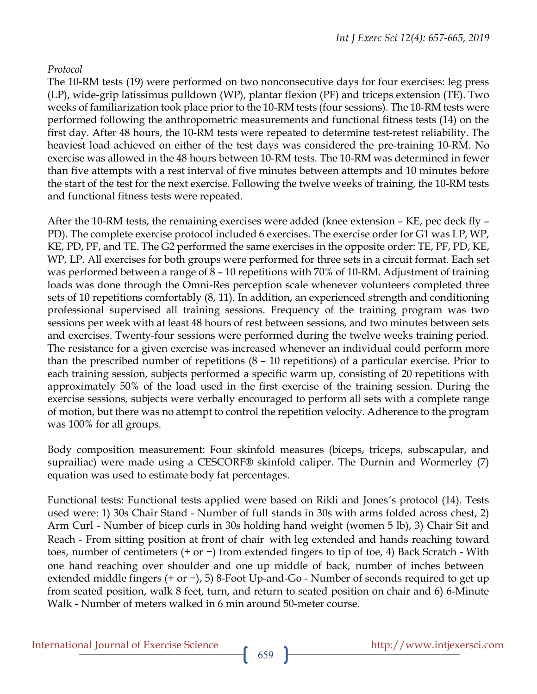#### *Protocol*

The 10-RM tests (19) were performed on two nonconsecutive days for four exercises: leg press (LP), wide-grip latissimus pulldown (WP), plantar flexion (PF) and triceps extension (TE). Two weeks of familiarization took place prior to the 10-RM tests (four sessions). The 10-RM tests were performed following the anthropometric measurements and functional fitness tests (14) on the first day. After 48 hours, the 10-RM tests were repeated to determine test-retest reliability. The heaviest load achieved on either of the test days was considered the pre-training 10-RM. No exercise was allowed in the 48 hours between 10-RM tests. The 10-RM was determined in fewer than five attempts with a rest interval of five minutes between attempts and 10 minutes before the start of the test for the next exercise. Following the twelve weeks of training, the 10-RM tests and functional fitness tests were repeated.

After the 10-RM tests, the remaining exercises were added (knee extension – KE, pec deck fly – PD). The complete exercise protocol included 6 exercises. The exercise order for G1 was LP, WP, KE, PD, PF, and TE. The G2 performed the same exercises in the opposite order: TE, PF, PD, KE, WP, LP. All exercises for both groups were performed for three sets in a circuit format. Each set was performed between a range of 8 – 10 repetitions with 70% of 10-RM. Adjustment of training loads was done through the Omni-Res perception scale whenever volunteers completed three sets of 10 repetitions comfortably (8, 11). In addition, an experienced strength and conditioning professional supervised all training sessions. Frequency of the training program was two sessions per week with at least 48 hours of rest between sessions, and two minutes between sets and exercises. Twenty-four sessions were performed during the twelve weeks training period. The resistance for a given exercise was increased whenever an individual could perform more than the prescribed number of repetitions (8 – 10 repetitions) of a particular exercise. Prior to each training session, subjects performed a specific warm up, consisting of 20 repetitions with approximately 50% of the load used in the first exercise of the training session. During the exercise sessions, subjects were verbally encouraged to perform all sets with a complete range of motion, but there was no attempt to control the repetition velocity. Adherence to the program was 100% for all groups.

Body composition measurement: Four skinfold measures (biceps, triceps, subscapular, and suprailiac) were made using a CESCORF® skinfold caliper. The Durnin and Wormerley (7) equation was used to estimate body fat percentages.

Functional tests: Functional tests applied were based on Rikli and Jones´s protocol (14). Tests used were: 1) 30s Chair Stand - Number of full stands in 30s with arms folded across chest, 2) Arm Curl - Number of bicep curls in 30s holding hand weight (women 5 lb), 3) Chair Sit and Reach - From sitting position at front of chair with leg extended and hands reaching toward toes, number of centimeters (+ or −) from extended fingers to tip of toe, 4) Back Scratch - With one hand reaching over shoulder and one up middle of back, number of inches between extended middle fingers (+ or −), 5) 8-Foot Up-and-Go - Number of seconds required to get up from seated position, walk 8 feet, turn, and return to seated position on chair and 6) 6-Minute Walk - Number of meters walked in 6 min around 50-meter course.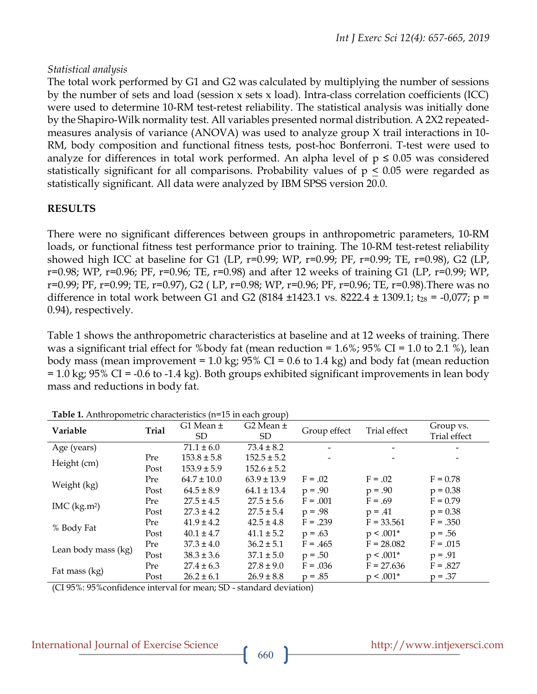#### *Statistical analysis*

The total work performed by G1 and G2 was calculated by multiplying the number of sessions by the number of sets and load (session  $x$  sets  $x$  load). Intra-class correlation coefficients (ICC) were used to determine 10-RM test-retest reliability. The statistical analysis was initially done by the Shapiro-Wilk normality test. All variables presented normal distribution. A 2X2 repeatedmeasures analysis of variance (ANOVA) was used to analyze group X trail interactions in 10- RM, body composition and functional fitness tests, post-hoc Bonferroni. T-test were used to analyze for differences in total work performed. An alpha level of  $p \le 0.05$  was considered statistically significant for all comparisons. Probability values of  $p \leq 0.05$  were regarded as statistically significant. All data were analyzed by IBM SPSS version 20.0.

## **RESULTS**

There were no significant differences between groups in anthropometric parameters, 10-RM loads, or functional fitness test performance prior to training. The 10-RM test-retest reliability showed high ICC at baseline for G1 (LP, r=0.99; WP, r=0.99; PF, r=0.99; TE, r=0.98), G2 (LP, r=0.98; WP, r=0.96; PF, r=0.96; TE, r=0.98) and after 12 weeks of training G1 (LP, r=0.99; WP, r=0.99; PF, r=0.99; TE, r=0.97), G2 ( LP, r=0.98; WP, r=0.96; PF, r=0.96; TE, r=0.98).There was no difference in total work between G1 and G2 (8184  $\pm$ 1423.1 vs. 8222.4  $\pm$  1309.1; t<sub>28</sub> = -0,077; p = 0.94), respectively.

Table 1 shows the anthropometric characteristics at baseline and at 12 weeks of training. There was a significant trial effect for %body fat (mean reduction =  $1.6\%$ ;  $95\%$  CI =  $1.0$  to 2.1 %), lean body mass (mean improvement =  $1.0 \text{ kg}$ ; 95% CI = 0.6 to 1.4 kg) and body fat (mean reduction  $= 1.0$  kg; 95% CI = -0.6 to -1.4 kg). Both groups exhibited significant improvements in lean body mass and reductions in body fat.

| Variable                | <b>Trial</b> | G1 Mean ±<br><b>SD</b> | G2 Mean $\pm$<br><b>SD</b> | Group effect | Trial effect | Group vs.<br>Trial effect |
|-------------------------|--------------|------------------------|----------------------------|--------------|--------------|---------------------------|
| Age (years)             |              | $71.1 \pm 6.0$         | $73.4 \pm 8.2$             |              |              |                           |
| Height (cm)             | Pre          | $153.8 \pm 5.8$        | $152.5 \pm 5.2$            |              |              |                           |
|                         | Post         | $153.9 \pm 5.9$        | $152.6 \pm 5.2$            |              |              |                           |
| Weight (kg)             | Pre          | $64.7 \pm 10.0$        | $63.9 \pm 13.9$            | $F = .02$    | $F = .02$    | $F = 0.78$                |
|                         | Post         | $64.5 \pm 8.9$         | $64.1 \pm 13.4$            | $p = .90$    | $p = .90$    | $p = 0.38$                |
| MC (kg.m <sup>2</sup> ) | Pre          | $27.5 \pm 4.5$         | $27.5 \pm 5.6$             | $F = .001$   | $F = .69$    | $F = 0.79$                |
|                         | Post         | $27.3 \pm 4.2$         | $27.5 \pm 5.4$             | $p = .98$    | $p = .41$    | $p = 0.38$                |
| % Body Fat              | Pre          | $41.9 \pm 4.2$         | $42.5 \pm 4.8$             | $F = .239$   | $F = 33.561$ | $F = .350$                |
|                         | Post         | $40.1 \pm 4.7$         | $41.1 \pm 5.2$             | $p = .63$    | $p < .001*$  | $p = .56$                 |
| Lean body mass (kg)     | Pre          | $37.3 \pm 4.0$         | $36.2 \pm 5.1$             | $F = .465$   | $F = 28.082$ | $F = .015$                |
|                         | Post         | $38.3 \pm 3.6$         | $37.1 \pm 5.0$             | $p = .50$    | $p < .001*$  | $p = .91$                 |
| Fat mass (kg)           | Pre          | $27.4 \pm 6.3$         | $27.8 \pm 9.0$             | $F = .036$   | $F = 27.636$ | $F = .827$                |
|                         | Post         | $26.2 \pm 6.1$         | $26.9 \pm 8.8$             | $p = .85$    | $p < .001*$  | $p = .37$                 |

| Table 1. Anthropometric characteristics (n=15 in each group) |  |
|--------------------------------------------------------------|--|
|--------------------------------------------------------------|--|

(CI 95%: 95%confidence interval for mean; SD - standard deviation)

#### International Journal of Exercise Science http://www.intjexersci.com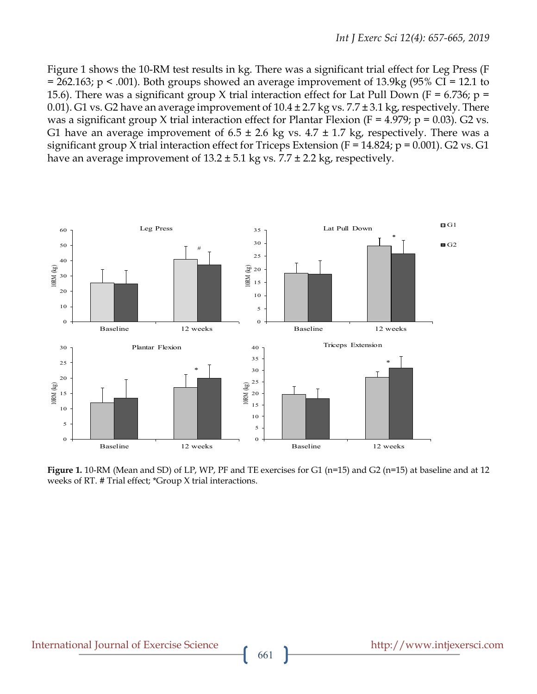Figure 1 shows the 10-RM test results in kg. There was a significant trial effect for Leg Press (F  $= 262.163$ ; p < .001). Both groups showed an average improvement of 13.9kg (95% CI = 12.1 to 15.6). There was a significant group X trial interaction effect for Lat Pull Down (F = 6.736; p = 0.01). G1 vs. G2 have an average improvement of  $10.4 \pm 2.7$  kg vs.  $7.7 \pm 3.1$  kg, respectively. There was a significant group X trial interaction effect for Plantar Flexion (F = 4.979;  $p = 0.03$ ). G2 vs. G1 have an average improvement of  $6.5 \pm 2.6$  kg vs.  $4.7 \pm 1.7$  kg, respectively. There was a significant group X trial interaction effect for Triceps Extension ( $F = 14.824$ ;  $p = 0.001$ ). G2 vs. G1 have an average improvement of  $13.2 \pm 5.1$  kg vs.  $7.7 \pm 2.2$  kg, respectively.



**Figure 1.** 10-RM (Mean and SD) of LP, WP, PF and TE exercises for G1 (n=15) and G2 (n=15) at baseline and at 12 weeks of RT. # Trial effect; \*Group X trial interactions.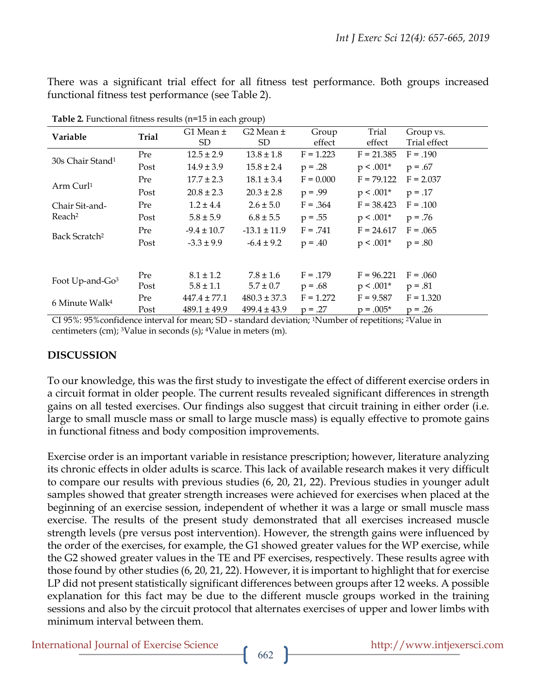There was a significant trial effect for all fitness test performance. Both groups increased functional fitness test performance (see Table 2).

| Variable                             | <b>Trial</b> | G1 Mean ±<br>SD. | G2 Mean $\pm$<br>SD. | Group<br>effect | Trial<br>effect | Group vs.<br>Trial effect |
|--------------------------------------|--------------|------------------|----------------------|-----------------|-----------------|---------------------------|
|                                      |              |                  |                      |                 |                 |                           |
| 30s Chair Stand <sup>1</sup>         | Pre          | $12.5 \pm 2.9$   | $13.8 \pm 1.8$       | $F = 1.223$     | $F = 21.385$    | $F = .190$                |
|                                      | Post         | $14.9 \pm 3.9$   | $15.8 \pm 2.4$       | $p = .28$       | $p < .001*$     | $p = .67$                 |
| Arm Curl <sup>1</sup>                | Pre          | $17.7 \pm 2.3$   | $18.1 \pm 3.4$       | $F = 0.000$     | $F = 79.122$    | $F = 2.037$               |
|                                      | Post         | $20.8 \pm 2.3$   | $20.3 \pm 2.8$       | $p = .99$       | $p < .001*$     | $p = .17$                 |
| Chair Sit-and-<br>Reach <sup>2</sup> | Pre          | $1.2 \pm 4.4$    | $2.6 \pm 5.0$        | $F = .364$      | $F = 38.423$    | $F = .100$                |
|                                      | Post         | $5.8 \pm 5.9$    | $6.8 \pm 5.5$        | $p = .55$       | $p < .001*$     | $p = .76$                 |
| Back Scratch <sup>2</sup>            | Pre          | $-9.4 \pm 10.7$  | $-13.1 \pm 11.9$     | $F = .741$      | $F = 24.617$    | $F = .065$                |
|                                      | Post         | $-3.3 \pm 9.9$   | $-6.4 \pm 9.2$       | $p = .40$       | $p < .001*$     | $p = .80$                 |
|                                      |              |                  |                      |                 |                 |                           |
| Foot Up-and-Go <sup>3</sup>          | Pre          | $8.1 \pm 1.2$    | $7.8 \pm 1.6$        | $F = .179$      | $F = 96.221$    | $F = .060$                |
|                                      | Post         | $5.8 \pm 1.1$    | $5.7 \pm 0.7$        | $p = .68$       | $p < .001*$     | $p = .81$                 |
| 6 Minute Walk <sup>4</sup>           | Pre          | $447.4 \pm 77.1$ | $480.3 \pm 37.3$     | $F = 1.272$     | $F = 9.587$     | $F = 1.320$               |
|                                      | Post         | $489.1 \pm 49.9$ | $499.4 \pm 43.9$     | $p = .27$       | $p = .005*$     | $p = .26$                 |

**Table 2.** Functional fitness results (n=15 in each group)

CI 95%: 95%confidence interval for mean; SD - standard deviation; 1Number of repetitions; 2Value in centimeters (cm); 3Value in seconds (s); 4Value in meters (m).

#### **DISCUSSION**

To our knowledge, this was the first study to investigate the effect of different exercise orders in a circuit format in older people. The current results revealed significant differences in strength gains on all tested exercises. Our findings also suggest that circuit training in either order (i.e. large to small muscle mass or small to large muscle mass) is equally effective to promote gains in functional fitness and body composition improvements.

Exercise order is an important variable in resistance prescription; however, literature analyzing its chronic effects in older adults is scarce. This lack of available research makes it very difficult to compare our results with previous studies (6, 20, 21, 22). Previous studies in younger adult samples showed that greater strength increases were achieved for exercises when placed at the beginning of an exercise session, independent of whether it was a large or small muscle mass exercise. The results of the present study demonstrated that all exercises increased muscle strength levels (pre versus post intervention). However, the strength gains were influenced by the order of the exercises, for example, the G1 showed greater values for the WP exercise, while the G2 showed greater values in the TE and PF exercises, respectively. These results agree with those found by other studies (6, 20, 21, 22). However, it is important to highlight that for exercise LP did not present statistically significant differences between groups after 12 weeks. A possible explanation for this fact may be due to the different muscle groups worked in the training sessions and also by the circuit protocol that alternates exercises of upper and lower limbs with minimum interval between them.

International Journal of Exercise Science http://www.intjexersci.com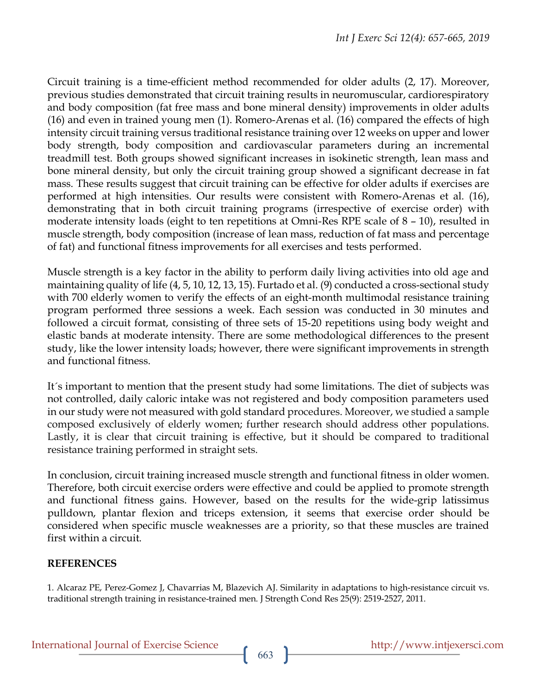Circuit training is a time-efficient method recommended for older adults (2, 17). Moreover, previous studies demonstrated that circuit training results in neuromuscular, cardiorespiratory and body composition (fat free mass and bone mineral density) improvements in older adults (16) and even in trained young men (1). Romero-Arenas et al. (16) compared the effects of high intensity circuit training versus traditional resistance training over 12 weeks on upper and lower body strength, body composition and cardiovascular parameters during an incremental treadmill test. Both groups showed significant increases in isokinetic strength, lean mass and bone mineral density, but only the circuit training group showed a significant decrease in fat mass. These results suggest that circuit training can be effective for older adults if exercises are performed at high intensities. Our results were consistent with Romero-Arenas et al. (16), demonstrating that in both circuit training programs (irrespective of exercise order) with moderate intensity loads (eight to ten repetitions at Omni-Res RPE scale of 8 – 10), resulted in muscle strength, body composition (increase of lean mass, reduction of fat mass and percentage of fat) and functional fitness improvements for all exercises and tests performed.

Muscle strength is a key factor in the ability to perform daily living activities into old age and maintaining quality of life (4, 5, 10, 12, 13, 15). Furtado et al. (9) conducted a cross-sectional study with 700 elderly women to verify the effects of an eight-month multimodal resistance training program performed three sessions a week. Each session was conducted in 30 minutes and followed a circuit format, consisting of three sets of 15-20 repetitions using body weight and elastic bands at moderate intensity. There are some methodological differences to the present study, like the lower intensity loads; however, there were significant improvements in strength and functional fitness.

It´s important to mention that the present study had some limitations. The diet of subjects was not controlled, daily caloric intake was not registered and body composition parameters used in our study were not measured with gold standard procedures. Moreover, we studied a sample composed exclusively of elderly women; further research should address other populations. Lastly, it is clear that circuit training is effective, but it should be compared to traditional resistance training performed in straight sets.

In conclusion, circuit training increased muscle strength and functional fitness in older women. Therefore, both circuit exercise orders were effective and could be applied to promote strength and functional fitness gains. However, based on the results for the wide-grip latissimus pulldown, plantar flexion and triceps extension, it seems that exercise order should be considered when specific muscle weaknesses are a priority, so that these muscles are trained first within a circuit.

## **REFERENCES**

1. Alcaraz PE, Perez-Gomez J, Chavarrias M, Blazevich AJ. Similarity in adaptations to high-resistance circuit vs. traditional strength training in resistance-trained men. J Strength Cond Res 25(9): 2519-2527, 2011.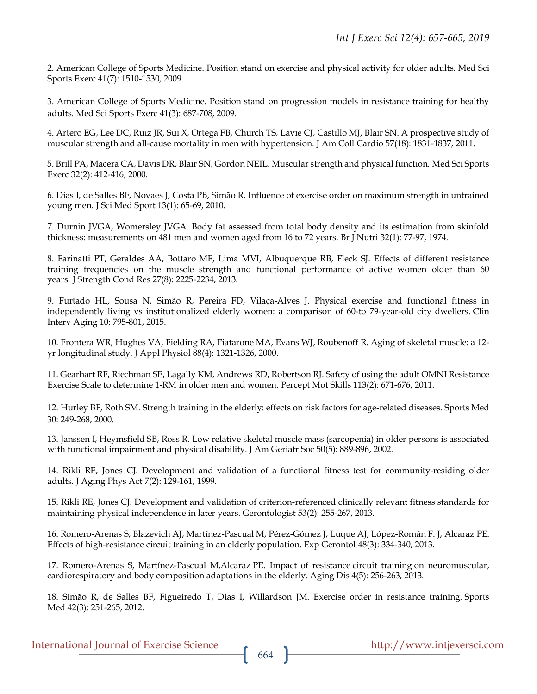2. American College of Sports Medicine. Position stand on exercise and physical activity for older adults. Med Sci Sports Exerc 41(7): 1510-1530, 2009.

3. American College of Sports Medicine. Position stand on progression models in resistance training for healthy adults. Med Sci Sports Exerc 41(3): 687-708, 2009.

4. Artero EG, Lee DC, Ruiz JR, Sui X, Ortega FB, Church TS, Lavie CJ, Castillo MJ, Blair SN. A prospective study of muscular strength and all-cause mortality in men with hypertension. J Am Coll Cardio 57(18): 1831-1837, 2011.

5. Brill PA, Macera CA, Davis DR, Blair SN, Gordon NEIL. Muscular strength and physical function. Med Sci Sports Exerc 32(2): 412-416, 2000.

6. Dias I, de Salles BF, Novaes J, Costa PB, Simão R. Influence of exercise order on maximum strength in untrained young men. J Sci Med Sport 13(1): 65-69, 2010.

7. Durnin JVGA, Womersley JVGA. Body fat assessed from total body density and its estimation from skinfold thickness: measurements on 481 men and women aged from 16 to 72 years. Br J Nutri 32(1): 77-97, 1974.

8. Farinatti PT, Geraldes AA, Bottaro MF, Lima MVI, Albuquerque RB, Fleck SJ. Effects of different resistance training frequencies on the muscle strength and functional performance of active women older than 60 years. J Strength Cond Res 27(8): 2225-2234, 2013.

9. Furtado HL, Sousa N, Simão R, Pereira FD, Vilaça-Alves J. Physical exercise and functional fitness in independently living vs institutionalized elderly women: a comparison of 60-to 79-year-old city dwellers. Clin Interv Aging 10: 795-801, 2015.

10. Frontera WR, Hughes VA, Fielding RA, Fiatarone MA, Evans WJ, Roubenoff R. Aging of skeletal muscle: a 12 yr longitudinal study. J Appl Physiol 88(4): 1321-1326, 2000.

11. Gearhart RF, Riechman SE, Lagally KM, Andrews RD, Robertson RJ. Safety of using the adult OMNI Resistance Exercise Scale to determine 1-RM in older men and women. Percept Mot Skills 113(2): 671-676, 2011.

12. Hurley BF, Roth SM. Strength training in the elderly: effects on risk factors for age-related diseases. Sports Med 30: 249-268, 2000.

13. Janssen I, Heymsfield SB, Ross R. Low relative skeletal muscle mass (sarcopenia) in older persons is associated with functional impairment and physical disability. J Am Geriatr Soc 50(5): 889-896, 2002.

14. Rikli RE, Jones CJ. Development and validation of a functional fitness test for community-residing older adults. J Aging Phys Act 7(2): 129-161, 1999.

15. Rikli RE, Jones CJ. Development and validation of criterion-referenced clinically relevant fitness standards for maintaining physical independence in later years. Gerontologist 53(2): 255-267, 2013.

16. Romero-Arenas S, Blazevich AJ, Martínez-Pascual M, Pérez-Gómez J, Luque AJ, López-Román F. J, Alcaraz PE. Effects of high-resistance circuit training in an elderly population. Exp Gerontol 48(3): 334-340, 2013.

17. Romero-Arenas S, Martínez-Pascual M,Alcaraz PE. Impact of resistance circuit training on neuromuscular, cardiorespiratory and body composition adaptations in the elderly. Aging Dis 4(5): 256-263, 2013.

18. Simão R, de Salles BF, Figueiredo T, Dias I, Willardson JM. Exercise order in resistance training. Sports Med 42(3): 251-265, 2012.